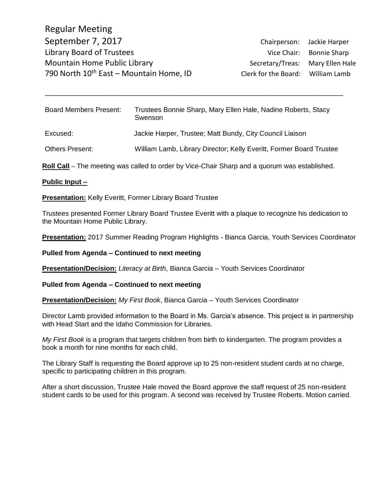Regular Meeting September 7, 2017 Chairperson: Jackie Harper Library Board of Trustees Vice Chair: Bonnie Sharp Mountain Home Public Library Network Secretary/Treas: Mary Ellen Hale 790 North  $10^{th}$  East – Mountain Home, ID Clerk for the Board: William Lamb

Board Members Present: Trustees Bonnie Sharp, Mary Ellen Hale, Nadine Roberts, Stacy Swenson Excused: Jackie Harper, Trustee; Matt Bundy, City Council Liaison Others Present: William Lamb, Library Director; Kelly Everitt, Former Board Trustee

\_\_\_\_\_\_\_\_\_\_\_\_\_\_\_\_\_\_\_\_\_\_\_\_\_\_\_\_\_\_\_\_\_\_\_\_\_\_\_\_\_\_\_\_\_\_\_\_\_\_\_\_\_\_\_\_\_\_\_\_\_\_\_\_\_\_\_\_\_\_\_\_\_\_\_\_\_\_\_\_

**Roll Call** – The meeting was called to order by Vice-Chair Sharp and a quorum was established.

### **Public Input –**

**Presentation:** Kelly Everitt, Former Library Board Trustee

Trustees presented Former Library Board Trustee Everitt with a plaque to recognize his dedication to the Mountain Home Public Library.

**Presentation:** 2017 Summer Reading Program Highlights - Bianca Garcia, Youth Services Coordinator

**Pulled from Agenda – Continued to next meeting**

**Presentation/Decision:** *Literacy at Birth*, Bianca Garcia – Youth Services Coordinator

**Pulled from Agenda – Continued to next meeting**

**Presentation/Decision:** *My First Book*, Bianca Garcia – Youth Services Coordinator

Director Lamb provided information to the Board in Ms. Garcia's absence. This project is in partnership with Head Start and the Idaho Commission for Libraries.

*My First Book* is a program that targets children from birth to kindergarten. The program provides a book a month for nine months for each child.

The Library Staff is requesting the Board approve up to 25 non-resident student cards at no charge, specific to participating children in this program.

After a short discussion, Trustee Hale moved the Board approve the staff request of 25 non-resident student cards to be used for this program. A second was received by Trustee Roberts. Motion carried.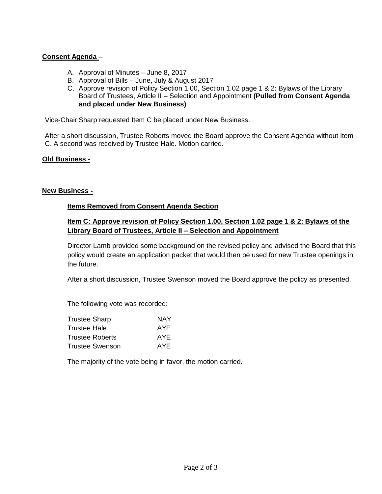# **Consent Agenda** –

- A. Approval of Minutes June 8, 2017
- B. Approval of Bills June, July & August 2017
- C. Approve revision of Policy Section 1.00, Section 1.02 page 1 & 2: Bylaws of the Library Board of Trustees, Article II – Selection and Appointment **(Pulled from Consent Agenda and placed under New Business)**

Vice-Chair Sharp requested Item C be placed under New Business.

After a short discussion, Trustee Roberts moved the Board approve the Consent Agenda without Item C. A second was received by Trustee Hale. Motion carried.

## **Old Business -**

### **New Business -**

## **Items Removed from Consent Agenda Section**

## **Item C: Approve revision of Policy Section 1.00, Section 1.02 page 1 & 2: Bylaws of the Library Board of Trustees, Article II – Selection and Appointment**

Director Lamb provided some background on the revised policy and advised the Board that this policy would create an application packet that would then be used for new Trustee openings in the future.

After a short discussion, Trustee Swenson moved the Board approve the policy as presented.

The following vote was recorded:

| NAY  |
|------|
| AYE. |
| AYE. |
| AYE. |
|      |

The majority of the vote being in favor, the motion carried.